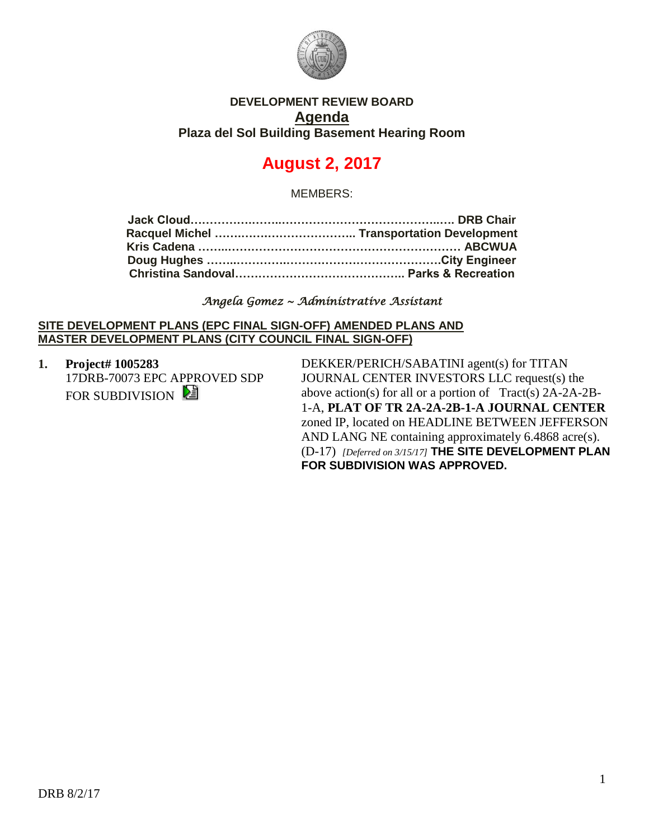

## **DEVELOPMENT REVIEW BOARD Agenda Plaza del Sol Building Basement Hearing Room**

# **August 2, 2017**

MEMBERS:

#### *Angela Gomez ~ Administrative Assistant*

#### **SITE DEVELOPMENT PLANS (EPC FINAL SIGN-OFF) AMENDED PLANS AND MASTER DEVELOPMENT PLANS (CITY COUNCIL FINAL SIGN-OFF)**

**1. Project# 1005283** 17DRB-70073 EPC APPROVED SDP FOR SUBDIVISION

DEKKER/PERICH/SABATINI agent(s) for TITAN JOURNAL CENTER INVESTORS LLC request(s) the above action(s) for all or a portion of Tract(s) 2A-2A-2B-1-A, **PLAT OF TR 2A-2A-2B-1-A JOURNAL CENTER** zoned IP, located on HEADLINE BETWEEN JEFFERSON AND LANG NE containing approximately 6.4868 acre(s). (D-17) *[Deferred on 3/15/17]* **THE SITE DEVELOPMENT PLAN FOR SUBDIVISION WAS APPROVED.**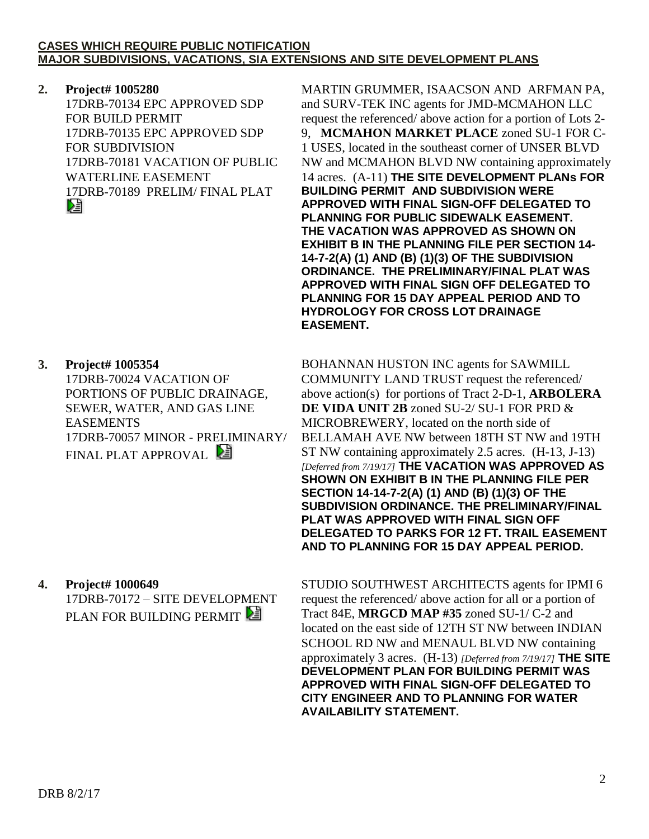#### **CASES WHICH REQUIRE PUBLIC NOTIFICATION MAJOR SUBDIVISIONS, VACATIONS, SIA EXTENSIONS AND SITE DEVELOPMENT PLANS**

## **2. Project# 1005280**

17DRB-70134 EPC APPROVED SDP FOR BUILD PERMIT 17DRB-70135 EPC APPROVED SDP FOR SUBDIVISION 17DRB-70181 VACATION OF PUBLIC WATERLINE EASEMENT 17DRB-70189 PRELIM/ FINAL PLAT

## **3. Project# 1005354**

17DRB-70024 VACATION OF PORTIONS OF PUBLIC DRAINAGE, SEWER, WATER, AND GAS LINE EASEMENTS 17DRB-70057 MINOR - PRELIMINARY/ FINAL PLAT APPROVAL

## **4. Project# 1000649**

17DRB-70172 – SITE DEVELOPMENT PLAN FOR BUILDING PERMIT

MARTIN GRUMMER, ISAACSON AND ARFMAN PA, and SURV-TEK INC agents for JMD-MCMAHON LLC request the referenced/ above action for a portion of Lots 2- 9, **MCMAHON MARKET PLACE** zoned SU-1 FOR C-1 USES, located in the southeast corner of UNSER BLVD NW and MCMAHON BLVD NW containing approximately 14 acres. (A-11) **THE SITE DEVELOPMENT PLANs FOR BUILDING PERMIT AND SUBDIVISION WERE APPROVED WITH FINAL SIGN-OFF DELEGATED TO PLANNING FOR PUBLIC SIDEWALK EASEMENT. THE VACATION WAS APPROVED AS SHOWN ON EXHIBIT B IN THE PLANNING FILE PER SECTION 14- 14-7-2(A) (1) AND (B) (1)(3) OF THE SUBDIVISION ORDINANCE. THE PRELIMINARY/FINAL PLAT WAS APPROVED WITH FINAL SIGN OFF DELEGATED TO PLANNING FOR 15 DAY APPEAL PERIOD AND TO HYDROLOGY FOR CROSS LOT DRAINAGE EASEMENT.**

BOHANNAN HUSTON INC agents for SAWMILL COMMUNITY LAND TRUST request the referenced/ above action(s) for portions of Tract 2-D-1, **ARBOLERA DE VIDA UNIT 2B** zoned SU-2/ SU-1 FOR PRD & MICROBREWERY, located on the north side of BELLAMAH AVE NW between 18TH ST NW and 19TH ST NW containing approximately 2.5 acres. (H-13, J-13) *[Deferred from 7/19/17]* **THE VACATION WAS APPROVED AS SHOWN ON EXHIBIT B IN THE PLANNING FILE PER SECTION 14-14-7-2(A) (1) AND (B) (1)(3) OF THE SUBDIVISION ORDINANCE. THE PRELIMINARY/FINAL PLAT WAS APPROVED WITH FINAL SIGN OFF DELEGATED TO PARKS FOR 12 FT. TRAIL EASEMENT AND TO PLANNING FOR 15 DAY APPEAL PERIOD.**

STUDIO SOUTHWEST ARCHITECTS agents for IPMI 6 request the referenced/ above action for all or a portion of Tract 84E, **MRGCD MAP #35** zoned SU-1/ C-2 and located on the east side of 12TH ST NW between INDIAN SCHOOL RD NW and MENAUL BLVD NW containing approximately 3 acres. (H-13) *[Deferred from 7/19/17]* **THE SITE DEVELOPMENT PLAN FOR BUILDING PERMIT WAS APPROVED WITH FINAL SIGN-OFF DELEGATED TO CITY ENGINEER AND TO PLANNING FOR WATER AVAILABILITY STATEMENT.**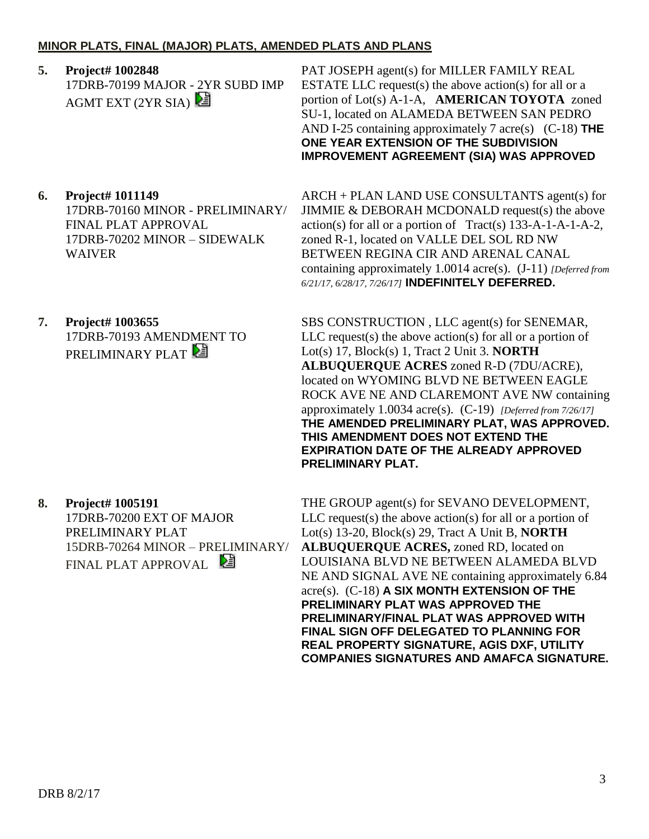## **MINOR PLATS, FINAL (MAJOR) PLATS, AMENDED PLATS AND PLANS**

**5. Project# 1002848** 17DRB-70199 MAJOR - 2YR SUBD IMP AGMT EXT  $(2YR SIA)$ 

PAT JOSEPH agent(s) for MILLER FAMILY REAL ESTATE LLC request(s) the above action(s) for all or a portion of Lot(s) A-1-A, **AMERICAN TOYOTA** zoned SU-1, located on ALAMEDA BETWEEN SAN PEDRO AND I-25 containing approximately 7 acre(s) (C-18) **THE ONE YEAR EXTENSION OF THE SUBDIVISION IMPROVEMENT AGREEMENT (SIA) WAS APPROVED**

## **6. Project# 1011149**

17DRB-70160 MINOR - PRELIMINARY/ FINAL PLAT APPROVAL 17DRB-70202 MINOR – SIDEWALK WAIVER

**7. Project# 1003655** 17DRB-70193 AMENDMENT TO PRELIMINARY PLAT

# **8. Project# 1005191**

17DRB-70200 EXT OF MAJOR PRELIMINARY PLAT 15DRB-70264 MINOR – PRELIMINARY/ FINAL PLAT APPROVAL

ARCH + PLAN LAND USE CONSULTANTS agent(s) for JIMMIE & DEBORAH MCDONALD request(s) the above action(s) for all or a portion of Tract(s) 133-A-1-A-1-A-2, zoned R-1, located on VALLE DEL SOL RD NW BETWEEN REGINA CIR AND ARENAL CANAL containing approximately 1.0014 acre(s). (J-11) *[Deferred from 6/21/17, 6/28/17, 7/26/17]* **INDEFINITELY DEFERRED.**

SBS CONSTRUCTION , LLC agent(s) for SENEMAR,  $LLC$  request(s) the above action(s) for all or a portion of Lot(s) 17, Block(s) 1, Tract 2 Unit 3. **NORTH ALBUQUERQUE ACRES** zoned R-D (7DU/ACRE), located on WYOMING BLVD NE BETWEEN EAGLE ROCK AVE NE AND CLAREMONT AVE NW containing approximately 1.0034 acre(s). (C-19) *[Deferred from 7/26/17]* **THE AMENDED PRELIMINARY PLAT, WAS APPROVED. THIS AMENDMENT DOES NOT EXTEND THE EXPIRATION DATE OF THE ALREADY APPROVED PRELIMINARY PLAT.**

THE GROUP agent(s) for SEVANO DEVELOPMENT,  $LLC$  request(s) the above action(s) for all or a portion of Lot(s) 13-20, Block(s) 29, Tract A Unit B, **NORTH ALBUQUERQUE ACRES,** zoned RD, located on LOUISIANA BLVD NE BETWEEN ALAMEDA BLVD NE AND SIGNAL AVE NE containing approximately 6.84 acre(s). (C-18) **A SIX MONTH EXTENSION OF THE PRELIMINARY PLAT WAS APPROVED THE PRELIMINARY/FINAL PLAT WAS APPROVED WITH FINAL SIGN OFF DELEGATED TO PLANNING FOR REAL PROPERTY SIGNATURE, AGIS DXF, UTILITY COMPANIES SIGNATURES AND AMAFCA SIGNATURE.**